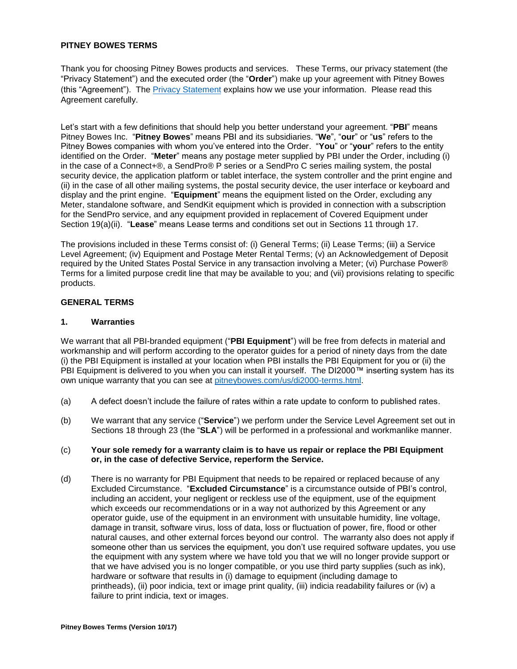### **PITNEY BOWES TERMS**

Thank you for choosing Pitney Bowes products and services. These Terms, our privacy statement (the "Privacy Statement") and the executed order (the "**Order**") make up your agreement with Pitney Bowes (this "Agreement"). The [Privacy Statement](http://www.pitneybowes.com/us/legal/privacy-statement.html) explains how we use your information. Please read this Agreement carefully.

Let's start with a few definitions that should help you better understand your agreement. "**PBI**" means Pitney Bowes Inc. "**Pitney Bowes**" means PBI and its subsidiaries. "**We**", "**our**" or "**us**" refers to the Pitney Bowes companies with whom you've entered into the Order. "**You**" or "**your**" refers to the entity identified on the Order. "**Meter**" means any postage meter supplied by PBI under the Order, including (i) in the case of a Connect+®, a SendPro® P series or a SendPro C series mailing system, the postal security device, the application platform or tablet interface, the system controller and the print engine and (ii) in the case of all other mailing systems, the postal security device, the user interface or keyboard and display and the print engine. "**Equipment**" means the equipment listed on the Order, excluding any Meter, standalone software, and SendKit equipment which is provided in connection with a subscription for the SendPro service, and any equipment provided in replacement of Covered Equipment under Section 19(a)(ii). "**Lease**" means Lease terms and conditions set out in Sections 11 through 17.

The provisions included in these Terms consist of: (i) General Terms; (ii) Lease Terms; (iii) a Service Level Agreement; (iv) Equipment and Postage Meter Rental Terms; (v) an Acknowledgement of Deposit required by the United States Postal Service in any transaction involving a Meter; (vi) Purchase Power® Terms for a limited purpose credit line that may be available to you; and (vii) provisions relating to specific products.

## **GENERAL TERMS**

#### **1. Warranties**

We warrant that all PBI-branded equipment ("**PBI Equipment**") will be free from defects in material and workmanship and will perform according to the operator guides for a period of ninety days from the date (i) the PBI Equipment is installed at your location when PBI installs the PBI Equipment for you or (ii) the PBI Equipment is delivered to you when you can install it yourself. The DI2000™ inserting system has its own unique warranty that you can see at [pitneybowes.com/us/di2000-terms.html.](http://www.pitneybowes.com/us/di2000-terms.html)

- (a) A defect doesn't include the failure of rates within a rate update to conform to published rates.
- (b) We warrant that any service ("**Service**") we perform under the Service Level Agreement set out in Sections 18 through 23 (the "**SLA**") will be performed in a professional and workmanlike manner.

#### (c) **Your sole remedy for a warranty claim is to have us repair or replace the PBI Equipment or, in the case of defective Service, reperform the Service.**

(d) There is no warranty for PBI Equipment that needs to be repaired or replaced because of any Excluded Circumstance. "**Excluded Circumstance**" is a circumstance outside of PBI's control, including an accident, your negligent or reckless use of the equipment, use of the equipment which exceeds our recommendations or in a way not authorized by this Agreement or any operator guide, use of the equipment in an environment with unsuitable humidity, line voltage, damage in transit, software virus, loss of data, loss or fluctuation of power, fire, flood or other natural causes, and other external forces beyond our control. The warranty also does not apply if someone other than us services the equipment, you don't use required software updates, you use the equipment with any system where we have told you that we will no longer provide support or that we have advised you is no longer compatible, or you use third party supplies (such as ink), hardware or software that results in (i) damage to equipment (including damage to printheads), (ii) poor indicia, text or image print quality, (iii) indicia readability failures or (iv) a failure to print indicia, text or images.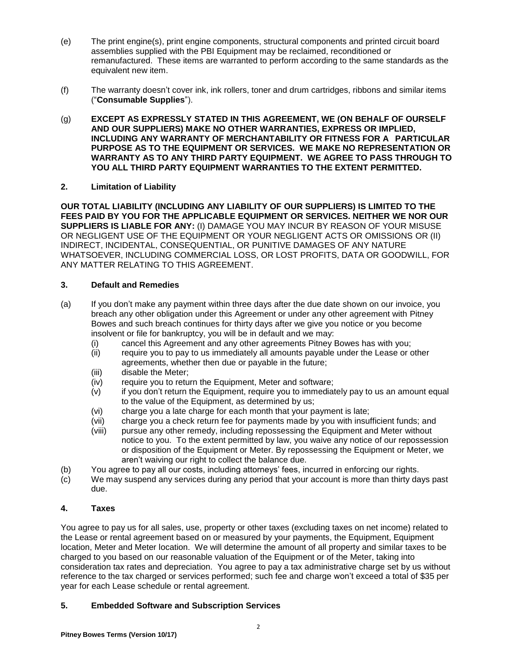- (e) The print engine(s), print engine components, structural components and printed circuit board assemblies supplied with the PBI Equipment may be reclaimed, reconditioned or remanufactured. These items are warranted to perform according to the same standards as the equivalent new item.
- (f) The warranty doesn't cover ink, ink rollers, toner and drum cartridges, ribbons and similar items ("**Consumable Supplies**").
- (g) **EXCEPT AS EXPRESSLY STATED IN THIS AGREEMENT, WE (ON BEHALF OF OURSELF AND OUR SUPPLIERS) MAKE NO OTHER WARRANTIES, EXPRESS OR IMPLIED, INCLUDING ANY WARRANTY OF MERCHANTABILITY OR FITNESS FOR A PARTICULAR PURPOSE AS TO THE EQUIPMENT OR SERVICES. WE MAKE NO REPRESENTATION OR WARRANTY AS TO ANY THIRD PARTY EQUIPMENT. WE AGREE TO PASS THROUGH TO YOU ALL THIRD PARTY EQUIPMENT WARRANTIES TO THE EXTENT PERMITTED.**

## **2. Limitation of Liability**

**OUR TOTAL LIABILITY (INCLUDING ANY LIABILITY OF OUR SUPPLIERS) IS LIMITED TO THE FEES PAID BY YOU FOR THE APPLICABLE EQUIPMENT OR SERVICES. NEITHER WE NOR OUR SUPPLIERS IS LIABLE FOR ANY:** (I) DAMAGE YOU MAY INCUR BY REASON OF YOUR MISUSE OR NEGLIGENT USE OF THE EQUIPMENT OR YOUR NEGLIGENT ACTS OR OMISSIONS OR (II) INDIRECT, INCIDENTAL, CONSEQUENTIAL, OR PUNITIVE DAMAGES OF ANY NATURE WHATSOEVER, INCLUDING COMMERCIAL LOSS, OR LOST PROFITS, DATA OR GOODWILL, FOR ANY MATTER RELATING TO THIS AGREEMENT.

## **3. Default and Remedies**

- (a) If you don't make any payment within three days after the due date shown on our invoice, you breach any other obligation under this Agreement or under any other agreement with Pitney Bowes and such breach continues for thirty days after we give you notice or you become insolvent or file for bankruptcy, you will be in default and we may:
	- (i) cancel this Agreement and any other agreements Pitney Bowes has with you;
	- (ii) require you to pay to us immediately all amounts payable under the Lease or other agreements, whether then due or payable in the future;
	- (iii) disable the Meter;
	- (iv) require you to return the Equipment, Meter and software;
	- (v) if you don't return the Equipment, require you to immediately pay to us an amount equal to the value of the Equipment, as determined by us;
	- (vi) charge you a late charge for each month that your payment is late;
	- (vii) charge you a check return fee for payments made by you with insufficient funds; and
	- (viii) pursue any other remedy, including repossessing the Equipment and Meter without notice to you. To the extent permitted by law, you waive any notice of our repossession or disposition of the Equipment or Meter. By repossessing the Equipment or Meter, we aren't waiving our right to collect the balance due.
- (b) You agree to pay all our costs, including attorneys' fees, incurred in enforcing our rights.
- (c) We may suspend any services during any period that your account is more than thirty days past due.

# **4. Taxes**

You agree to pay us for all sales, use, property or other taxes (excluding taxes on net income) related to the Lease or rental agreement based on or measured by your payments, the Equipment, Equipment location, Meter and Meter location. We will determine the amount of all property and similar taxes to be charged to you based on our reasonable valuation of the Equipment or of the Meter, taking into consideration tax rates and depreciation. You agree to pay a tax administrative charge set by us without reference to the tax charged or services performed; such fee and charge won't exceed a total of \$35 per year for each Lease schedule or rental agreement.

# **5. Embedded Software and Subscription Services**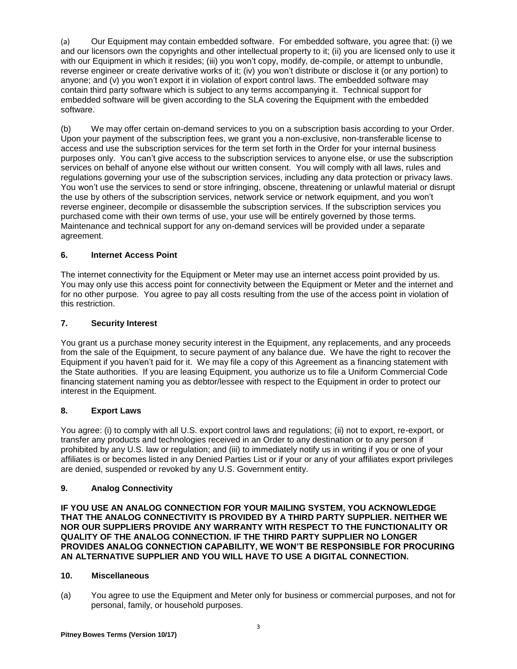(a) Our Equipment may contain embedded software. For embedded software, you agree that: (i) we and our licensors own the copyrights and other intellectual property to it; (ii) you are licensed only to use it with our Equipment in which it resides; (iii) you won't copy, modify, de-compile, or attempt to unbundle, reverse engineer or create derivative works of it; (iv) you won't distribute or disclose it (or any portion) to anyone; and (v) you won't export it in violation of export control laws. The embedded software may contain third party software which is subject to any terms accompanying it. Technical support for embedded software will be given according to the SLA covering the Equipment with the embedded software.

(b) We may offer certain on-demand services to you on a subscription basis according to your Order. Upon your payment of the subscription fees, we grant you a non-exclusive, non-transferable license to access and use the subscription services for the term set forth in the Order for your internal business purposes only. You can't give access to the subscription services to anyone else, or use the subscription services on behalf of anyone else without our written consent. You will comply with all laws, rules and regulations governing your use of the subscription services, including any data protection or privacy laws. You won't use the services to send or store infringing, obscene, threatening or unlawful material or disrupt the use by others of the subscription services, network service or network equipment, and you won't reverse engineer, decompile or disassemble the subscription services. If the subscription services you purchased come with their own terms of use, your use will be entirely governed by those terms. Maintenance and technical support for any on-demand services will be provided under a separate agreement.

# **6. Internet Access Point**

The internet connectivity for the Equipment or Meter may use an internet access point provided by us. You may only use this access point for connectivity between the Equipment or Meter and the internet and for no other purpose. You agree to pay all costs resulting from the use of the access point in violation of this restriction.

## **7. Security Interest**

You grant us a purchase money security interest in the Equipment, any replacements, and any proceeds from the sale of the Equipment, to secure payment of any balance due. We have the right to recover the Equipment if you haven't paid for it. We may file a copy of this Agreement as a financing statement with the State authorities. If you are leasing Equipment, you authorize us to file a Uniform Commercial Code financing statement naming you as debtor/lessee with respect to the Equipment in order to protect our interest in the Equipment.

# **8. Export Laws**

You agree: (i) to comply with all U.S. export control laws and regulations; (ii) not to export, re-export, or transfer any products and technologies received in an Order to any destination or to any person if prohibited by any U.S. law or regulation; and (iii) to immediately notify us in writing if you or one of your affiliates is or becomes listed in any Denied Parties List or if your or any of your affiliates export privileges are denied, suspended or revoked by any U.S. Government entity.

#### **9. Analog Connectivity**

**IF YOU USE AN ANALOG CONNECTION FOR YOUR MAILING SYSTEM, YOU ACKNOWLEDGE THAT THE ANALOG CONNECTIVITY IS PROVIDED BY A THIRD PARTY SUPPLIER. NEITHER WE NOR OUR SUPPLIERS PROVIDE ANY WARRANTY WITH RESPECT TO THE FUNCTIONALITY OR QUALITY OF THE ANALOG CONNECTION. IF THE THIRD PARTY SUPPLIER NO LONGER PROVIDES ANALOG CONNECTION CAPABILITY, WE WON'T BE RESPONSIBLE FOR PROCURING AN ALTERNATIVE SUPPLIER AND YOU WILL HAVE TO USE A DIGITAL CONNECTION.**

#### **10. Miscellaneous**

(a) You agree to use the Equipment and Meter only for business or commercial purposes, and not for personal, family, or household purposes.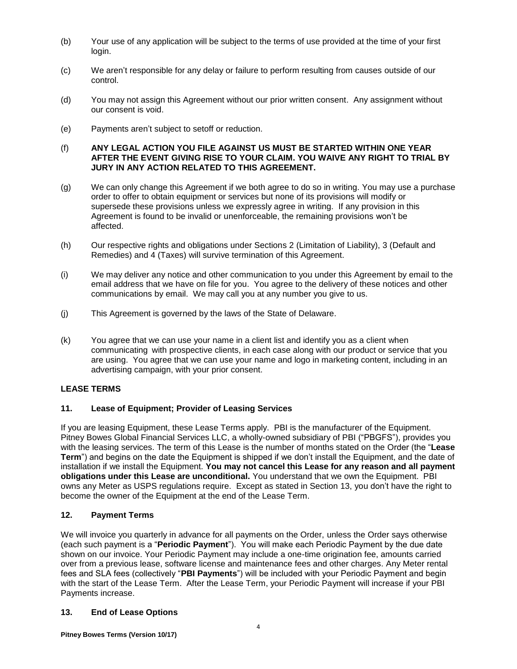- (b) Your use of any application will be subject to the terms of use provided at the time of your first login.
- (c) We aren't responsible for any delay or failure to perform resulting from causes outside of our control.
- (d) You may not assign this Agreement without our prior written consent. Any assignment without our consent is void.
- (e) Payments aren't subject to setoff or reduction.

#### (f) **ANY LEGAL ACTION YOU FILE AGAINST US MUST BE STARTED WITHIN ONE YEAR AFTER THE EVENT GIVING RISE TO YOUR CLAIM. YOU WAIVE ANY RIGHT TO TRIAL BY JURY IN ANY ACTION RELATED TO THIS AGREEMENT.**

- (g) We can only change this Agreement if we both agree to do so in writing. You may use a purchase order to offer to obtain equipment or services but none of its provisions will modify or supersede these provisions unless we expressly agree in writing. If any provision in this Agreement is found to be invalid or unenforceable, the remaining provisions won't be affected.
- (h) Our respective rights and obligations under Sections 2 (Limitation of Liability), 3 (Default and Remedies) and 4 (Taxes) will survive termination of this Agreement.
- (i) We may deliver any notice and other communication to you under this Agreement by email to the email address that we have on file for you. You agree to the delivery of these notices and other communications by email. We may call you at any number you give to us.
- (j) This Agreement is governed by the laws of the State of Delaware.
- (k) You agree that we can use your name in a client list and identify you as a client when communicating with prospective clients, in each case along with our product or service that you are using. You agree that we can use your name and logo in marketing content, including in an advertising campaign, with your prior consent.

# **LEASE TERMS**

#### **11. Lease of Equipment; Provider of Leasing Services**

If you are leasing Equipment, these Lease Terms apply. PBI is the manufacturer of the Equipment. Pitney Bowes Global Financial Services LLC, a wholly-owned subsidiary of PBI ("PBGFS"), provides you with the leasing services. The term of this Lease is the number of months stated on the Order (the "**Lease Term**") and begins on the date the Equipment is shipped if we don't install the Equipment, and the date of installation if we install the Equipment. **You may not cancel this Lease for any reason and all payment obligations under this Lease are unconditional.** You understand that we own the Equipment. PBI owns any Meter as USPS regulations require. Except as stated in Section 13, you don't have the right to become the owner of the Equipment at the end of the Lease Term.

# **12. Payment Terms**

We will invoice you quarterly in advance for all payments on the Order, unless the Order says otherwise (each such payment is a "**Periodic Payment**"). You will make each Periodic Payment by the due date shown on our invoice. Your Periodic Payment may include a one-time origination fee, amounts carried over from a previous lease, software license and maintenance fees and other charges. Any Meter rental fees and SLA fees (collectively "**PBI Payments**") will be included with your Periodic Payment and begin with the start of the Lease Term. After the Lease Term, your Periodic Payment will increase if your PBI Payments increase.

#### **13. End of Lease Options**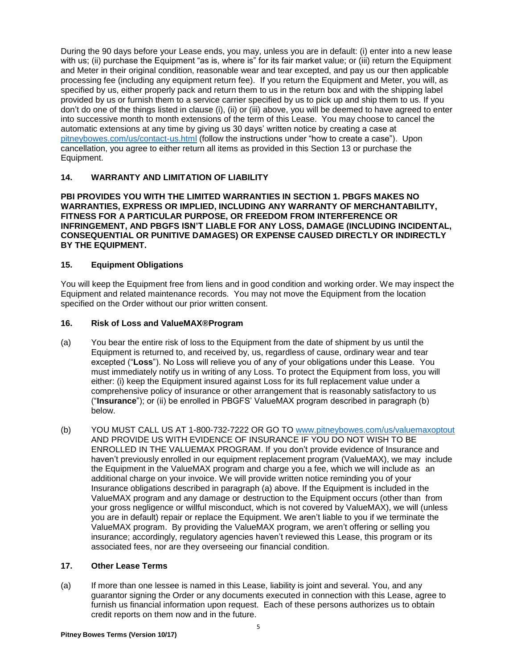During the 90 days before your Lease ends, you may, unless you are in default: (i) enter into a new lease with us; (ii) purchase the Equipment "as is, where is" for its fair market value; or (iii) return the Equipment and Meter in their original condition, reasonable wear and tear excepted, and pay us our then applicable processing fee (including any equipment return fee). If you return the Equipment and Meter, you will, as specified by us, either properly pack and return them to us in the return box and with the shipping label provided by us or furnish them to a service carrier specified by us to pick up and ship them to us. If you don't do one of the things listed in clause (i), (ii) or (iii) above, you will be deemed to have agreed to enter into successive month to month extensions of the term of this Lease. You may choose to cancel the automatic extensions at any time by giving us 30 days' written notice by creating a case at [pitneybowes.com/us/contact-us.html](http://www.pitneybowes.com/us/contact-us.html) (follow the instructions under "how to create a case"). Upon cancellation, you agree to either return all items as provided in this Section 13 or purchase the Equipment.

# **14. WARRANTY AND LIMITATION OF LIABILITY**

**PBI PROVIDES YOU WITH THE LIMITED WARRANTIES IN SECTION 1. PBGFS MAKES NO WARRANTIES, EXPRESS OR IMPLIED, INCLUDING ANY WARRANTY OF MERCHANTABILITY, FITNESS FOR A PARTICULAR PURPOSE, OR FREEDOM FROM INTERFERENCE OR INFRINGEMENT, AND PBGFS ISN'T LIABLE FOR ANY LOSS, DAMAGE (INCLUDING INCIDENTAL, CONSEQUENTIAL OR PUNITIVE DAMAGES) OR EXPENSE CAUSED DIRECTLY OR INDIRECTLY BY THE EQUIPMENT.**

#### **15. Equipment Obligations**

You will keep the Equipment free from liens and in good condition and working order. We may inspect the Equipment and related maintenance records. You may not move the Equipment from the location specified on the Order without our prior written consent.

#### **16. Risk of Loss and ValueMAX®Program**

- (a) You bear the entire risk of loss to the Equipment from the date of shipment by us until the Equipment is returned to, and received by, us, regardless of cause, ordinary wear and tear excepted ("**Loss**"). No Loss will relieve you of any of your obligations under this Lease. You must immediately notify us in writing of any Loss. To protect the Equipment from loss, you will either: (i) keep the Equipment insured against Loss for its full replacement value under a comprehensive policy of insurance or other arrangement that is reasonably satisfactory to us ("**Insurance**"); or (ii) be enrolled in PBGFS' ValueMAX program described in paragraph (b) below.
- (b) YOU MUST CALL US AT 1-800-732-7222 OR GO TO [www.pitneybowes.com/us/valuemaxoptout](http://www.pitneybowes.com/us/valuemaxoptout) AND PROVIDE US WITH EVIDENCE OF INSURANCE IF YOU DO NOT WISH TO BE ENROLLED IN THE VALUEMAX PROGRAM. If you don't provide evidence of Insurance and haven't previously enrolled in our equipment replacement program (ValueMAX), we may include the Equipment in the ValueMAX program and charge you a fee, which we will include as an additional charge on your invoice. We will provide written notice reminding you of your Insurance obligations described in paragraph (a) above. If the Equipment is included in the ValueMAX program and any damage or destruction to the Equipment occurs (other than from your gross negligence or willful misconduct, which is not covered by ValueMAX), we will (unless you are in default) repair or replace the Equipment. We aren't liable to you if we terminate the ValueMAX program. By providing the ValueMAX program, we aren't offering or selling you insurance; accordingly, regulatory agencies haven't reviewed this Lease, this program or its associated fees, nor are they overseeing our financial condition.

#### **17. Other Lease Terms**

(a) If more than one lessee is named in this Lease, liability is joint and several. You, and any guarantor signing the Order or any documents executed in connection with this Lease, agree to furnish us financial information upon request. Each of these persons authorizes us to obtain credit reports on them now and in the future.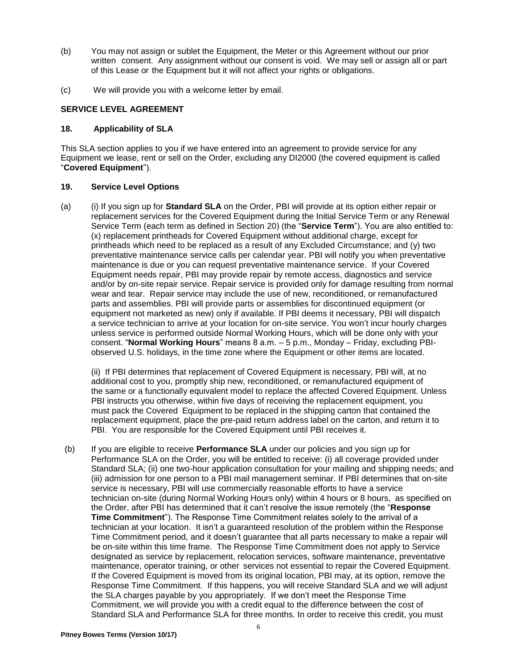- (b) You may not assign or sublet the Equipment, the Meter or this Agreement without our prior written consent. Any assignment without our consent is void. We may sell or assign all or part of this Lease or the Equipment but it will not affect your rights or obligations.
- (c) We will provide you with a welcome letter by email.

#### **SERVICE LEVEL AGREEMENT**

### **18. Applicability of SLA**

This SLA section applies to you if we have entered into an agreement to provide service for any Equipment we lease, rent or sell on the Order, excluding any DI2000 (the covered equipment is called "**Covered Equipment**").

#### **19. Service Level Options**

(a) (i) If you sign up for **Standard SLA** on the Order, PBI will provide at its option either repair or replacement services for the Covered Equipment during the Initial Service Term or any Renewal Service Term (each term as defined in Section 20) (the "**Service Term**"). You are also entitled to: (x) replacement printheads for Covered Equipment without additional charge, except for printheads which need to be replaced as a result of any Excluded Circumstance; and (y) two preventative maintenance service calls per calendar year. PBI will notify you when preventative maintenance is due or you can request preventative maintenance service. If your Covered Equipment needs repair, PBI may provide repair by remote access, diagnostics and service and/or by on-site repair service. Repair service is provided only for damage resulting from normal wear and tear. Repair service may include the use of new, reconditioned, or remanufactured parts and assemblies. PBI will provide parts or assemblies for discontinued equipment (or equipment not marketed as new) only if available. If PBI deems it necessary, PBI will dispatch a service technician to arrive at your location for on-site service. You won't incur hourly charges unless service is performed outside Normal Working Hours, which will be done only with your consent. "**Normal Working Hours**" means 8 a.m. – 5 p.m., Monday – Friday, excluding PBIobserved U.S. holidays, in the time zone where the Equipment or other items are located.

(ii) If PBI determines that replacement of Covered Equipment is necessary, PBI will, at no additional cost to you, promptly ship new, reconditioned, or remanufactured equipment of the same or a functionally equivalent model to replace the affected Covered Equipment. Unless PBI instructs you otherwise, within five days of receiving the replacement equipment, you must pack the Covered Equipment to be replaced in the shipping carton that contained the replacement equipment, place the pre-paid return address label on the carton, and return it to PBI. You are responsible for the Covered Equipment until PBI receives it.

(b) If you are eligible to receive **Performance SLA** under our policies and you sign up for Performance SLA on the Order, you will be entitled to receive: (i) all coverage provided under Standard SLA; (ii) one two-hour application consultation for your mailing and shipping needs; and (iii) admission for one person to a PBI mail management seminar. If PBI determines that on-site service is necessary, PBI will use commercially reasonable efforts to have a service technician on-site (during Normal Working Hours only) within 4 hours or 8 hours, as specified on the Order, after PBI has determined that it can't resolve the issue remotely (the "**Response Time Commitment**"). The Response Time Commitment relates solely to the arrival of a technician at your location. It isn't a guaranteed resolution of the problem within the Response Time Commitment period, and it doesn't guarantee that all parts necessary to make a repair will be on-site within this time frame. The Response Time Commitment does not apply to Service designated as service by replacement, relocation services, software maintenance, preventative maintenance, operator training, or other services not essential to repair the Covered Equipment. If the Covered Equipment is moved from its original location, PBI may, at its option, remove the Response Time Commitment. If this happens, you will receive Standard SLA and we will adjust the SLA charges payable by you appropriately. If we don't meet the Response Time Commitment, we will provide you with a credit equal to the difference between the cost of Standard SLA and Performance SLA for three months. In order to receive this credit, you must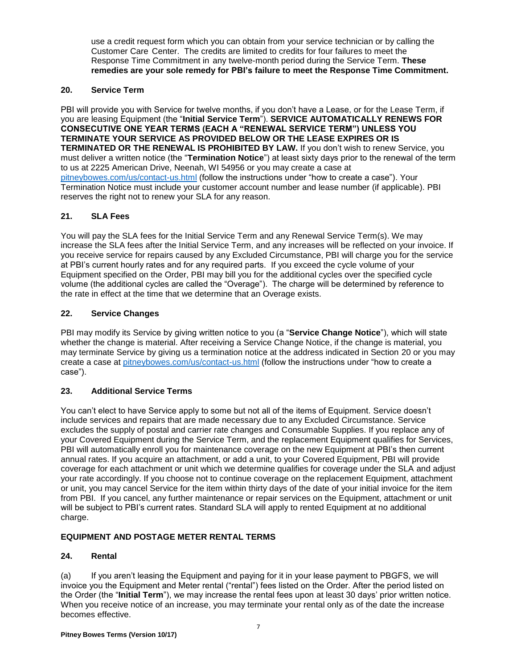use a credit request form which you can obtain from your service technician or by calling the Customer Care Center. The credits are limited to credits for four failures to meet the Response Time Commitment in any twelve-month period during the Service Term. **These remedies are your sole remedy for PBI's failure to meet the Response Time Commitment.**

# **20. Service Term**

PBI will provide you with Service for twelve months, if you don't have a Lease, or for the Lease Term, if you are leasing Equipment (the "**Initial Service Term**"). **SERVICE AUTOMATICALLY RENEWS FOR CONSECUTIVE ONE YEAR TERMS (EACH A "RENEWAL SERVICE TERM") UNLESS YOU TERMINATE YOUR SERVICE AS PROVIDED BELOW OR THE LEASE EXPIRES OR IS TERMINATED OR THE RENEWAL IS PROHIBITED BY LAW.** If you don't wish to renew Service, you must deliver a written notice (the "**Termination Notice**") at least sixty days prior to the renewal of the term to us at 2225 American Drive, Neenah, WI 54956 or you may create a case at [pitneybowes.com/us/contact-us.html](http://www.pitneybowes.com/us/contact-us.html) (follow the instructions under "how to create a case"). Your Termination Notice must include your customer account number and lease number (if applicable). PBI reserves the right not to renew your SLA for any reason.

# **21. SLA Fees**

You will pay the SLA fees for the Initial Service Term and any Renewal Service Term(s). We may increase the SLA fees after the Initial Service Term, and any increases will be reflected on your invoice. If you receive service for repairs caused by any Excluded Circumstance, PBI will charge you for the service at PBI's current hourly rates and for any required parts. If you exceed the cycle volume of your Equipment specified on the Order, PBI may bill you for the additional cycles over the specified cycle volume (the additional cycles are called the "Overage"). The charge will be determined by reference to the rate in effect at the time that we determine that an Overage exists.

## **22. Service Changes**

PBI may modify its Service by giving written notice to you (a "**Service Change Notice**"), which will state whether the change is material. After receiving a Service Change Notice, if the change is material, you may terminate Service by giving us a termination notice at the address indicated in Section 20 or you may create a case at [pitneybowes.com/us/contact-us.html](http://www.pitneybowes.com/us/contact-us.html) (follow the instructions under "how to create a case").

## **23. Additional Service Terms**

You can't elect to have Service apply to some but not all of the items of Equipment. Service doesn't include services and repairs that are made necessary due to any Excluded Circumstance. Service excludes the supply of postal and carrier rate changes and Consumable Supplies. If you replace any of your Covered Equipment during the Service Term, and the replacement Equipment qualifies for Services, PBI will automatically enroll you for maintenance coverage on the new Equipment at PBI's then current annual rates. If you acquire an attachment, or add a unit, to your Covered Equipment, PBI will provide coverage for each attachment or unit which we determine qualifies for coverage under the SLA and adjust your rate accordingly. If you choose not to continue coverage on the replacement Equipment, attachment or unit, you may cancel Service for the item within thirty days of the date of your initial invoice for the item from PBI. If you cancel, any further maintenance or repair services on the Equipment, attachment or unit will be subject to PBI's current rates. Standard SLA will apply to rented Equipment at no additional charge.

# **EQUIPMENT AND POSTAGE METER RENTAL TERMS**

#### **24. Rental**

(a) If you aren't leasing the Equipment and paying for it in your lease payment to PBGFS, we will invoice you the Equipment and Meter rental ("rental") fees listed on the Order. After the period listed on the Order (the "**Initial Term**"), we may increase the rental fees upon at least 30 days' prior written notice. When you receive notice of an increase, you may terminate your rental only as of the date the increase becomes effective.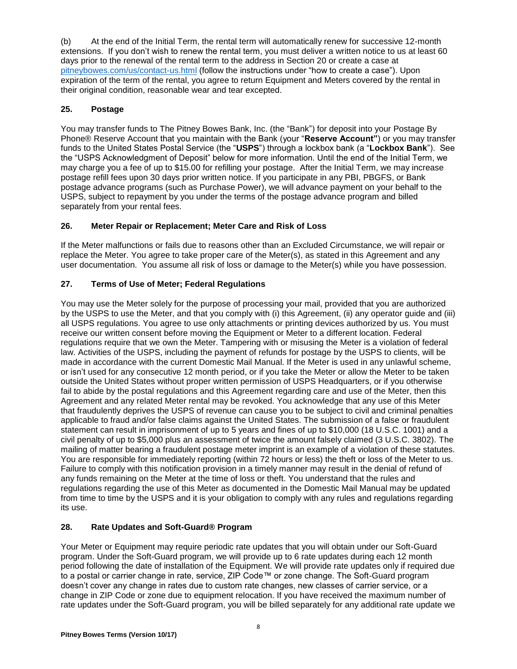(b) At the end of the Initial Term, the rental term will automatically renew for successive 12-month extensions. If you don't wish to renew the rental term, you must deliver a written notice to us at least 60 days prior to the renewal of the rental term to the address in Section 20 or create a case at [pitneybowes.com/us/contact-us.html](http://www.pitneybowes.com/us/contact-us.html) (follow the instructions under "how to create a case"). Upon expiration of the term of the rental, you agree to return Equipment and Meters covered by the rental in their original condition, reasonable wear and tear excepted.

# **25. Postage**

You may transfer funds to The Pitney Bowes Bank, Inc. (the "Bank") for deposit into your Postage By Phone® Reserve Account that you maintain with the Bank (your "**Reserve Account"**) or you may transfer funds to the United States Postal Service (the "**USPS**") through a lockbox bank (a "**Lockbox Bank**"). See the "USPS Acknowledgment of Deposit" below for more information. Until the end of the Initial Term, we may charge you a fee of up to \$15.00 for refilling your postage. After the Initial Term, we may increase postage refill fees upon 30 days prior written notice. If you participate in any PBI, PBGFS, or Bank postage advance programs (such as Purchase Power), we will advance payment on your behalf to the USPS, subject to repayment by you under the terms of the postage advance program and billed separately from your rental fees.

# **26. Meter Repair or Replacement; Meter Care and Risk of Loss**

If the Meter malfunctions or fails due to reasons other than an Excluded Circumstance, we will repair or replace the Meter. You agree to take proper care of the Meter(s), as stated in this Agreement and any user documentation. You assume all risk of loss or damage to the Meter(s) while you have possession.

# **27. Terms of Use of Meter; Federal Regulations**

You may use the Meter solely for the purpose of processing your mail, provided that you are authorized by the USPS to use the Meter, and that you comply with (i) this Agreement, (ii) any operator guide and (iii) all USPS regulations. You agree to use only attachments or printing devices authorized by us. You must receive our written consent before moving the Equipment or Meter to a different location. Federal regulations require that we own the Meter. Tampering with or misusing the Meter is a violation of federal law. Activities of the USPS, including the payment of refunds for postage by the USPS to clients, will be made in accordance with the current Domestic Mail Manual. If the Meter is used in any unlawful scheme, or isn't used for any consecutive 12 month period, or if you take the Meter or allow the Meter to be taken outside the United States without proper written permission of USPS Headquarters, or if you otherwise fail to abide by the postal regulations and this Agreement regarding care and use of the Meter, then this Agreement and any related Meter rental may be revoked. You acknowledge that any use of this Meter that fraudulently deprives the USPS of revenue can cause you to be subject to civil and criminal penalties applicable to fraud and/or false claims against the United States. The submission of a false or fraudulent statement can result in imprisonment of up to 5 years and fines of up to \$10,000 (18 U.S.C. 1001) and a civil penalty of up to \$5,000 plus an assessment of twice the amount falsely claimed (3 U.S.C. 3802). The mailing of matter bearing a fraudulent postage meter imprint is an example of a violation of these statutes. You are responsible for immediately reporting (within 72 hours or less) the theft or loss of the Meter to us. Failure to comply with this notification provision in a timely manner may result in the denial of refund of any funds remaining on the Meter at the time of loss or theft. You understand that the rules and regulations regarding the use of this Meter as documented in the Domestic Mail Manual may be updated from time to time by the USPS and it is your obligation to comply with any rules and regulations regarding its use.

# **28. Rate Updates and Soft-Guard® Program**

Your Meter or Equipment may require periodic rate updates that you will obtain under our Soft-Guard program. Under the Soft-Guard program, we will provide up to 6 rate updates during each 12 month period following the date of installation of the Equipment. We will provide rate updates only if required due to a postal or carrier change in rate, service, ZIP Code™ or zone change. The Soft-Guard program doesn't cover any change in rates due to custom rate changes, new classes of carrier service, or a change in ZIP Code or zone due to equipment relocation. If you have received the maximum number of rate updates under the Soft-Guard program, you will be billed separately for any additional rate update we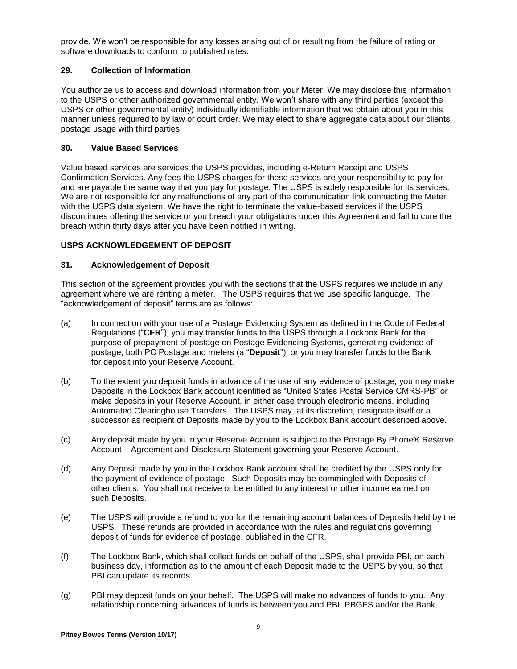provide. We won't be responsible for any losses arising out of or resulting from the failure of rating or software downloads to conform to published rates.

## **29. Collection of Information**

You authorize us to access and download information from your Meter. We may disclose this information to the USPS or other authorized governmental entity. We won't share with any third parties (except the USPS or other governmental entity) individually identifiable information that we obtain about you in this manner unless required to by law or court order. We may elect to share aggregate data about our clients' postage usage with third parties.

## **30. Value Based Services**

Value based services are services the USPS provides, including e-Return Receipt and USPS Confirmation Services. Any fees the USPS charges for these services are your responsibility to pay for and are payable the same way that you pay for postage. The USPS is solely responsible for its services. We are not responsible for any malfunctions of any part of the communication link connecting the Meter with the USPS data system. We have the right to terminate the value-based services if the USPS discontinues offering the service or you breach your obligations under this Agreement and fail to cure the breach within thirty days after you have been notified in writing.

## **USPS ACKNOWLEDGEMENT OF DEPOSIT**

## **31. Acknowledgement of Deposit**

This section of the agreement provides you with the sections that the USPS requires we include in any agreement where we are renting a meter. The USPS requires that we use specific language. The "acknowledgement of deposit" terms are as follows:

- (a) In connection with your use of a Postage Evidencing System as defined in the Code of Federal Regulations ("**CFR**"), you may transfer funds to the USPS through a Lockbox Bank for the purpose of prepayment of postage on Postage Evidencing Systems, generating evidence of postage, both PC Postage and meters (a "**Deposit**"), or you may transfer funds to the Bank for deposit into your Reserve Account.
- (b) To the extent you deposit funds in advance of the use of any evidence of postage, you may make Deposits in the Lockbox Bank account identified as "United States Postal Service CMRS-PB" or make deposits in your Reserve Account, in either case through electronic means, including Automated Clearinghouse Transfers. The USPS may, at its discretion, designate itself or a successor as recipient of Deposits made by you to the Lockbox Bank account described above.
- (c) Any deposit made by you in your Reserve Account is subject to the Postage By Phone® Reserve Account – Agreement and Disclosure Statement governing your Reserve Account.
- (d) Any Deposit made by you in the Lockbox Bank account shall be credited by the USPS only for the payment of evidence of postage. Such Deposits may be commingled with Deposits of other clients. You shall not receive or be entitled to any interest or other income earned on such Deposits.
- (e) The USPS will provide a refund to you for the remaining account balances of Deposits held by the USPS. These refunds are provided in accordance with the rules and regulations governing deposit of funds for evidence of postage, published in the CFR.
- (f) The Lockbox Bank, which shall collect funds on behalf of the USPS, shall provide PBI, on each business day, information as to the amount of each Deposit made to the USPS by you, so that PBI can update its records.
- (g) PBI may deposit funds on your behalf. The USPS will make no advances of funds to you. Any relationship concerning advances of funds is between you and PBI, PBGFS and/or the Bank.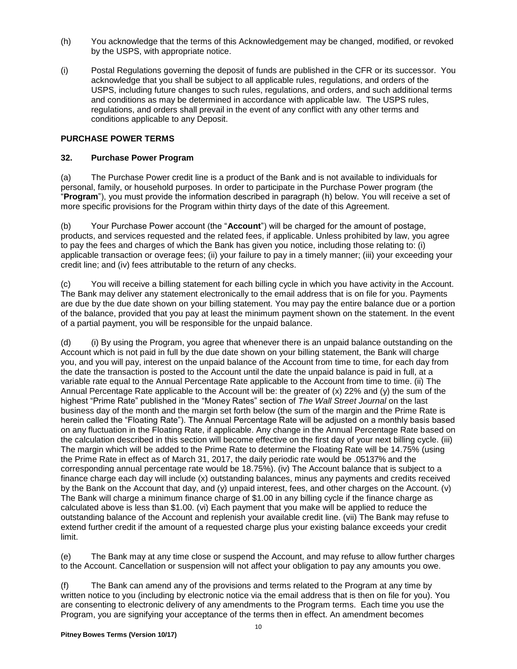- (h) You acknowledge that the terms of this Acknowledgement may be changed, modified, or revoked by the USPS, with appropriate notice.
- (i) Postal Regulations governing the deposit of funds are published in the CFR or its successor. You acknowledge that you shall be subject to all applicable rules, regulations, and orders of the USPS, including future changes to such rules, regulations, and orders, and such additional terms and conditions as may be determined in accordance with applicable law. The USPS rules, regulations, and orders shall prevail in the event of any conflict with any other terms and conditions applicable to any Deposit.

## **PURCHASE POWER TERMS**

### **32. Purchase Power Program**

(a) The Purchase Power credit line is a product of the Bank and is not available to individuals for personal, family, or household purposes. In order to participate in the Purchase Power program (the "**Program**"), you must provide the information described in paragraph (h) below. You will receive a set of more specific provisions for the Program within thirty days of the date of this Agreement.

(b) Your Purchase Power account (the "**Account**") will be charged for the amount of postage, products, and services requested and the related fees, if applicable. Unless prohibited by law, you agree to pay the fees and charges of which the Bank has given you notice, including those relating to: (i) applicable transaction or overage fees; (ii) your failure to pay in a timely manner; (iii) your exceeding your credit line; and (iv) fees attributable to the return of any checks.

(c) You will receive a billing statement for each billing cycle in which you have activity in the Account. The Bank may deliver any statement electronically to the email address that is on file for you. Payments are due by the due date shown on your billing statement. You may pay the entire balance due or a portion of the balance, provided that you pay at least the minimum payment shown on the statement. In the event of a partial payment, you will be responsible for the unpaid balance.

(d) (i) By using the Program, you agree that whenever there is an unpaid balance outstanding on the Account which is not paid in full by the due date shown on your billing statement, the Bank will charge you, and you will pay, interest on the unpaid balance of the Account from time to time, for each day from the date the transaction is posted to the Account until the date the unpaid balance is paid in full, at a variable rate equal to the Annual Percentage Rate applicable to the Account from time to time. (ii) The Annual Percentage Rate applicable to the Account will be: the greater of (x) 22% and (y) the sum of the highest "Prime Rate" published in the "Money Rates" section of *The Wall Street Journal* on the last business day of the month and the margin set forth below (the sum of the margin and the Prime Rate is herein called the "Floating Rate"). The Annual Percentage Rate will be adjusted on a monthly basis based on any fluctuation in the Floating Rate, if applicable. Any change in the Annual Percentage Rate based on the calculation described in this section will become effective on the first day of your next billing cycle. (iii) The margin which will be added to the Prime Rate to determine the Floating Rate will be 14.75% (using the Prime Rate in effect as of March 31, 2017, the daily periodic rate would be .05137% and the corresponding annual percentage rate would be 18.75%). (iv) The Account balance that is subject to a finance charge each day will include (x) outstanding balances, minus any payments and credits received by the Bank on the Account that day, and (y) unpaid interest, fees, and other charges on the Account. (v) The Bank will charge a minimum finance charge of \$1.00 in any billing cycle if the finance charge as calculated above is less than \$1.00. (vi) Each payment that you make will be applied to reduce the outstanding balance of the Account and replenish your available credit line. (vii) The Bank may refuse to extend further credit if the amount of a requested charge plus your existing balance exceeds your credit limit.

(e) The Bank may at any time close or suspend the Account, and may refuse to allow further charges to the Account. Cancellation or suspension will not affect your obligation to pay any amounts you owe.

(f) The Bank can amend any of the provisions and terms related to the Program at any time by written notice to you (including by electronic notice via the email address that is then on file for you). You are consenting to electronic delivery of any amendments to the Program terms. Each time you use the Program, you are signifying your acceptance of the terms then in effect. An amendment becomes